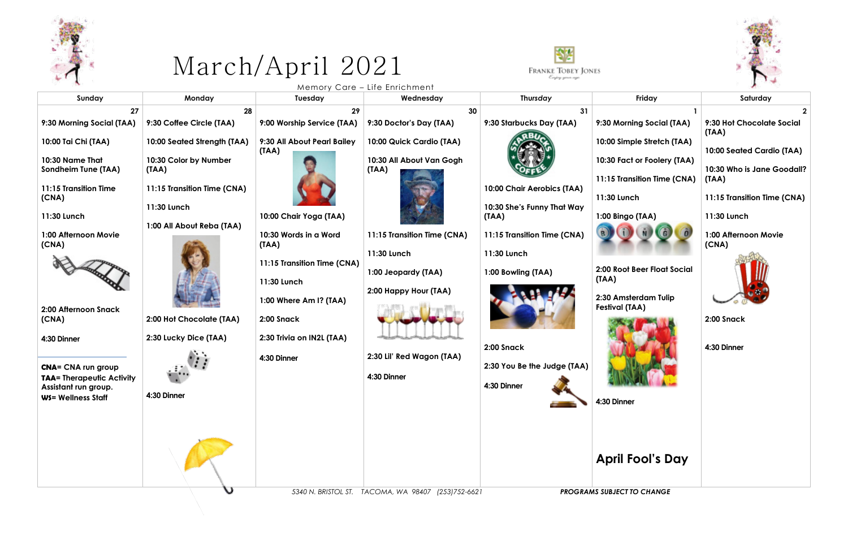

## March/April 2021



Memory Care – Life Enrichment

| Sunday                                                                                                                                                                                                                                                                                                         | Monday                                                                                                                                                                                                              | Tuesday                                                                                                                                                                                                                            | Wednesday                                                                                                                                                                                               | Thursday                                                                                                                                                                                          | Friday                                                                                                                                                                                                                                                         | Saturday                                                                                                                                                                     |
|----------------------------------------------------------------------------------------------------------------------------------------------------------------------------------------------------------------------------------------------------------------------------------------------------------------|---------------------------------------------------------------------------------------------------------------------------------------------------------------------------------------------------------------------|------------------------------------------------------------------------------------------------------------------------------------------------------------------------------------------------------------------------------------|---------------------------------------------------------------------------------------------------------------------------------------------------------------------------------------------------------|---------------------------------------------------------------------------------------------------------------------------------------------------------------------------------------------------|----------------------------------------------------------------------------------------------------------------------------------------------------------------------------------------------------------------------------------------------------------------|------------------------------------------------------------------------------------------------------------------------------------------------------------------------------|
| 27<br>9:30 Morning Social (TAA)                                                                                                                                                                                                                                                                                | 28<br>9:30 Coffee Circle (TAA)                                                                                                                                                                                      | 29<br>9:00 Worship Service (TAA)                                                                                                                                                                                                   | 30<br>9:30 Doctor's Day (TAA)                                                                                                                                                                           | 31<br>9:30 Starbucks Day (TAA)                                                                                                                                                                    | 9:30 Morning Social (TAA)                                                                                                                                                                                                                                      | 9:30 Hot Chocolate Social<br>(TAA)                                                                                                                                           |
| 10:00 Tai Chi (TAA)<br>10:30 Name That<br>Sondheim Tune (TAA)<br>11:15 Transition Time<br>(CNA)<br>11:30 Lunch<br>1:00 Afternoon Movie<br>(CNA)<br>2:00 Afternoon Snack<br>(CNA)<br>4:30 Dinner<br><b>CNA= CNA run group</b><br><b>TAA= Therapeutic Activity</b><br>Assistant run group.<br>WS= Wellness Staff | 10:00 Seated Strength (TAA)<br>10:30 Color by Number<br>(TAA)<br>11:15 Transition Time (CNA)<br>11:30 Lunch<br>1:00 All About Reba (TAA)<br>2:00 Hot Chocolate (TAA)<br>2:30 Lucky Dice (TAA)<br>الب<br>4:30 Dinner | 9:30 All About Pearl Bailey<br>(TAA)<br>10:00 Chair Yoga (TAA)<br>10:30 Words in a Word<br>(TAA)<br>11:15 Transition Time (CNA)<br>11:30 Lunch<br>1:00 Where Am I? (TAA)<br>2:00 Snack<br>2:30 Trivia on IN2L (TAA)<br>4:30 Dinner | 10:00 Quick Cardio (TAA)<br>10:30 All About Van Gogh<br>(IAA)<br>11:15 Transition Time (CNA)<br>11:30 Lunch<br>1:00 Jeopardy (TAA)<br>2:00 Happy Hour (TAA)<br>2:30 Lil' Red Wagon (TAA)<br>4:30 Dinner | 10:00 Chair Aerobics (TAA)<br>10:30 She's Funny That Way<br>(TAA)<br>11:15 Transition Time (CNA)<br>11:30 Lunch<br>1:00 Bowling (TAA)<br>2:00 Snack<br>2:30 You Be the Judge (TAA)<br>4:30 Dinner | 10:00 Simple Stretch (TAA)<br>10:30 Fact or Foolery (TAA)<br>11:15 Transition Time (CNA)<br>11:30 Lunch<br>1:00 Bingo (TAA)<br>2:00 Root Beer Float Social<br>(TAA)<br>2:30 Amsterdam Tulip<br><b>Festival (TAA)</b><br>4:30 Dinner<br><b>April Fool's Day</b> | 10:00 Seated Cardio (TAA)<br>10:30 Who is Jane Goodall?<br>(TAA)<br>11:15 Transition Time (CNA)<br>11:30 Lunch<br>1:00 Afternoon Movie<br>(CNA)<br>2:00 Snack<br>4:30 Dinner |
|                                                                                                                                                                                                                                                                                                                |                                                                                                                                                                                                                     |                                                                                                                                                                                                                                    | 5340 N. BRISTOL ST. TACOMA, WA 98407 (253)752-6621                                                                                                                                                      |                                                                                                                                                                                                   | <b>PROGRAMS SUBJECT TO CHANGE</b>                                                                                                                                                                                                                              |                                                                                                                                                                              |

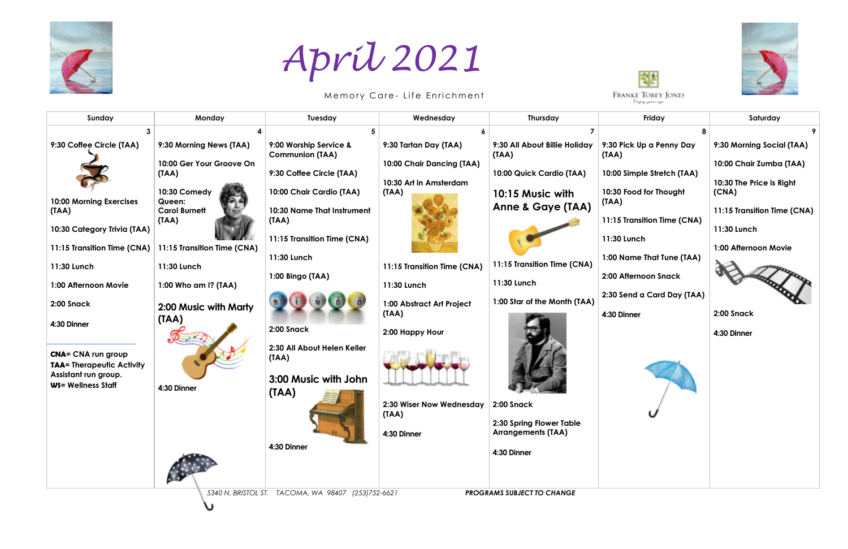

 *5340 N. BRISTOL ST. TACOMA, WA 98407 (253)752-6621 PROGRAMS SUBJECT TO CHANGE*

U





| Sunday                                                        | Monday                            | Tuesday                                          | Wednesday                                           | <b>Thursday</b>                        | Friday                                            | Saturday                                            |
|---------------------------------------------------------------|-----------------------------------|--------------------------------------------------|-----------------------------------------------------|----------------------------------------|---------------------------------------------------|-----------------------------------------------------|
|                                                               |                                   | 5                                                |                                                     |                                        |                                                   |                                                     |
| 9:30 Coffee Circle (TAA)                                      | 9:30 Morning News (TAA)           | 9:00 Worship Service &<br><b>Communion (TAA)</b> | 9:30 Tartan Day (TAA)                               | 9:30 All About Billie Holiday<br>(TAA) | 9:30 Pick Up a Penny Day<br>(TAA)                 | 9:30 Morning Social (TAA)                           |
|                                                               | 10:00 Ger Your Groove On<br>(TAA) | 9:30 Coffee Circle (TAA)                         | 10:00 Chair Dancing (TAA)<br>10:30 Art in Amsterdam | 10:00 Quick Cardio (TAA)               | 10:00 Simple Stretch (TAA)                        | 10:00 Chair Zumba (TAA)<br>10:30 The Price is Right |
| 10:00 Morning Exercises                                       | 10:30 Comedy<br>Queen:            | 10:00 Chair Cardio (TAA)                         | (TAA)                                               | 10:15 Music with<br>Anne & Gaye (TAA)  | 10:30 Food for Thought<br>(TAA)                   | (CNA)                                               |
| (TAA)<br>10:30 Category Trivia (TAA)                          | <b>Carol Burnett</b><br>(TAA)     | 10:30 Name That Instrument<br>(TAA)              |                                                     |                                        | 11:15 Transition Time (CNA)                       | 11:15 Transition Time (CNA)<br>11:30 Lunch          |
| 11:15 Transition Time (CNA)                                   | 11:15 Transition Time (CNA)       | 11:15 Transition Time (CNA)                      |                                                     |                                        | 11:30 Lunch                                       | 1:00 Afternoon Movie                                |
| 11:30 Lunch                                                   | 11:30 Lunch                       | 11:30 Lunch<br>1:00 Bingo (TAA)                  | 11:15 Transition Time (CNA)                         | 11:15 Transition Time (CNA)            | 1:00 Name That Tune (TAA)<br>2:00 Afternoon Snack |                                                     |
| 1:00 Afternoon Movie                                          | 1:00 Who am I? (TAA)              |                                                  | 11:30 Lunch                                         | 11:30 Lunch                            | 2:30 Send a Card Day (TAA)                        |                                                     |
| 2:00 Snack                                                    | 2:00 Music with Marty             |                                                  | 1:00 Abstract Art Project<br>(IAA)                  | 1:00 Star of the Month (TAA)           | 4:30 Dinner                                       | 2:00 Snack                                          |
| 4:30 Dinner                                                   | (TAA)                             | 2:00 Snack                                       | 2:00 Happy Hour                                     |                                        |                                                   | 4:30 Dinner                                         |
| <b>CNA= CNA run group</b><br><b>TAA= Therapeutic Activity</b> |                                   | 2:30 All About Helen Keller<br>(IAA)             |                                                     |                                        |                                                   |                                                     |
| Assistant run group.<br>WS= Wellness Staff                    | 4:30 Dinner                       | 3:00 Music with John<br>(IAA)                    |                                                     |                                        |                                                   |                                                     |
|                                                               |                                   |                                                  | 2:30 Wiser Now Wednesday<br>(TAA)                   | 2:00 Snack<br>2:30 Spring Flower Table |                                                   |                                                     |
|                                                               |                                   |                                                  | 4:30 Dinner                                         | <b>Arrangements (TAA)</b>              |                                                   |                                                     |
|                                                               |                                   | 4:30 Dinner                                      |                                                     | 4:30 Dinner                            |                                                   |                                                     |

## *April 2021*

Memory Care- Life Enrichment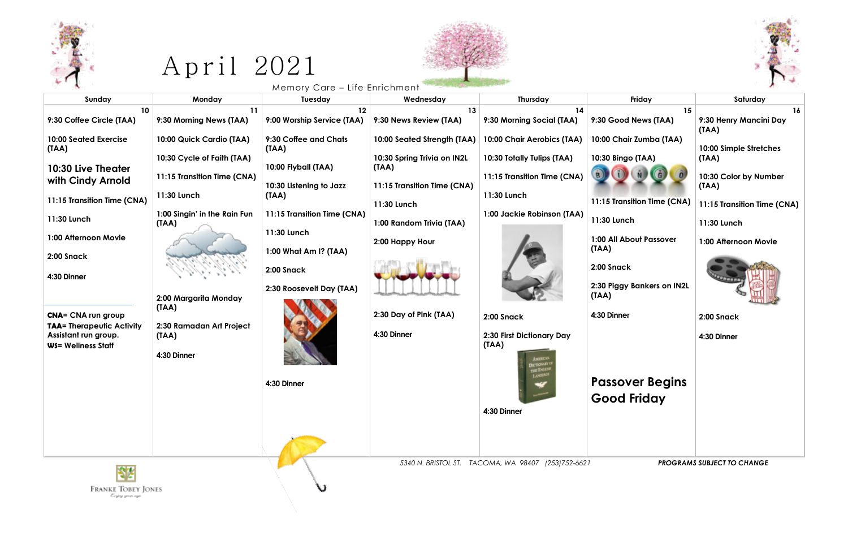

## $Apri1 2021$



ν

| Sunday                                                                                                                                                                              | Monday                                                                                                                                        | Memory Care - Life Enrichment<br>Tuesday                                                                                                                                                                   | Wednesday                                                                                                                                                        | Thursday                                                                                                                             | Friday                                                                                                                                                                     | Saturday                                                                                                                                         |
|-------------------------------------------------------------------------------------------------------------------------------------------------------------------------------------|-----------------------------------------------------------------------------------------------------------------------------------------------|------------------------------------------------------------------------------------------------------------------------------------------------------------------------------------------------------------|------------------------------------------------------------------------------------------------------------------------------------------------------------------|--------------------------------------------------------------------------------------------------------------------------------------|----------------------------------------------------------------------------------------------------------------------------------------------------------------------------|--------------------------------------------------------------------------------------------------------------------------------------------------|
| 10 <sup>°</sup><br>9:30 Coffee Circle (TAA)                                                                                                                                         | 11<br>9:30 Morning News (TAA)                                                                                                                 | 12<br>9:00 Worship Service (TAA)                                                                                                                                                                           | 13<br>9:30 News Review (TAA)                                                                                                                                     | 14<br>9:30 Morning Social (TAA)                                                                                                      | 15<br>9:30 Good News (TAA)                                                                                                                                                 | 16<br>9:30 Henry Mancini Day                                                                                                                     |
| <b>10:00 Seated Exercise</b><br>(TAA)<br>10:30 Live Theater<br>with Cindy Arnold<br>11:15 Transition Time (CNA)<br>11:30 Lunch<br>1:00 Afternoon Movie<br>2:00 Snack<br>4:30 Dinner | 10:00 Quick Cardio (TAA)<br>10:30 Cycle of Faith (TAA)<br>11:15 Transition Time (CNA)<br>11:30 Lunch<br>1:00 Singin' in the Rain Fun<br>(TAA) | 9:30 Coffee and Chats<br>(TAA)<br>10:00 Flyball (TAA)<br>10:30 Listening to Jazz<br>(TAA)<br>11:15 Transition Time (CNA)<br>11:30 Lunch<br>1:00 What Am I? (TAA)<br>2:00 Snack<br>2:30 Roosevelt Day (TAA) | 10:00 Seated Strength (TAA)<br>10:30 Spring Trivia on IN2L<br>(TAA)<br>11:15 Transition Time (CNA)<br>11:30 Lunch<br>1:00 Random Trivia (TAA)<br>2:00 Happy Hour | 10:00 Chair Aerobics (TAA)<br>10:30 Totally Tulips (TAA)<br>11:15 Transition Time (CNA)<br>11:30 Lunch<br>1:00 Jackie Robinson (TAA) | 10:00 Chair Zumba (TAA)<br>10:30 Bingo (TAA)<br>11:15 Transition Time (CNA)<br>11:30 Lunch<br>1:00 All About Passover<br>(TAA)<br>2:00 Snack<br>2:30 Piggy Bankers on IN2L | (TAA)<br>10:00 Simple Stretches<br>(TAA)<br>10:30 Color by Number<br>(TAA)<br>11:15 Transition Time (CNA)<br>11:30 Lunch<br>1:00 Afternoon Movie |
| <b>CNA= CNA run group</b><br><b>TAA= Therapeutic Activity</b><br>Assistant run group.<br><b>WS= Wellness Staff</b>                                                                  | 2:00 Margarita Monday<br>(TAA)<br>2:30 Ramadan Art Project<br>(TAA)<br>4:30 Dinner                                                            | 4:30 Dinner                                                                                                                                                                                                | 2:30 Day of Pink (TAA)<br>4:30 Dinner                                                                                                                            | 2:00 Snack<br>2:30 First Dictionary Day<br>(TAA)<br><b>DICTIONARY</b><br>THE ENGLY<br><b>LANGUAD</b><br>4:30 Dinner                  | (TAA)<br>4:30 Dinner<br><b>Passover Begins</b><br><b>Good Friday</b>                                                                                                       | 2:00 Snack<br>4:30 Dinner                                                                                                                        |

 $\begin{matrix} \text{FRANKE}\ \text{TOBEY}\ \text{JONES}\ \\ \text{\it{C-jéry given age}} \end{matrix}$ 

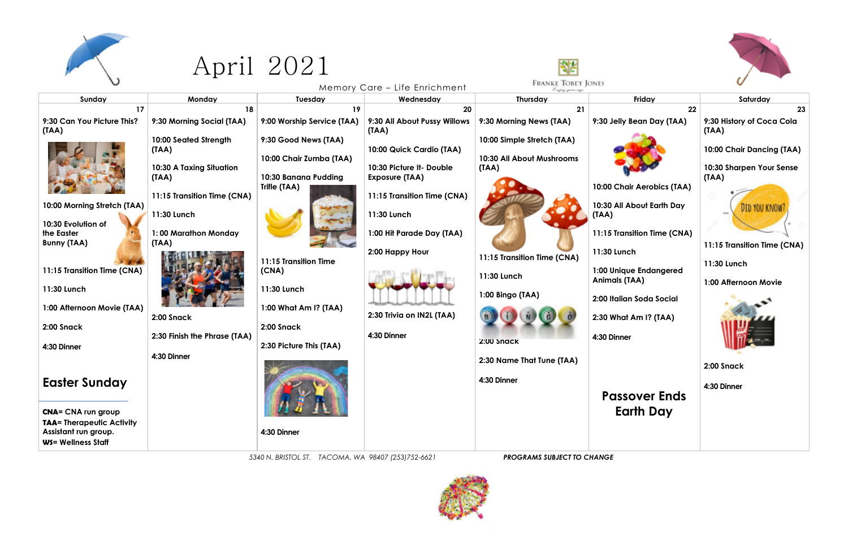

## April 2021



|                                                          |                                   |                                                 |                                                   | لعرجا                                       |                                          |                                    |
|----------------------------------------------------------|-----------------------------------|-------------------------------------------------|---------------------------------------------------|---------------------------------------------|------------------------------------------|------------------------------------|
|                                                          |                                   |                                                 | Memory Care – Life Enrichment                     | <b>FRANKE TOBEY JONES</b><br>Enjoy your ago |                                          |                                    |
| Sunday                                                   | Monday                            | Tuesday                                         | Wednesday                                         | <b>Thursday</b>                             | Friday                                   | Saturday                           |
| 17                                                       | 18                                | 19                                              | 20                                                | 21                                          | 22                                       | 23                                 |
| 9:30 Can You Picture This?<br>(TAA)                      | 9:30 Morning Social (TAA)         | 9:00 Worship Service (TAA)                      | 9:30 All About Pussy Willows<br>(TAA)             | 9:30 Morning News (TAA)                     | 9:30 Jelly Bean Day (TAA)                | 9:30 History of Coca Cola<br>(TAA) |
|                                                          | 10:00 Seated Strength<br>(TAA)    | 9:30 Good News (TAA)                            | 10:00 Quick Cardio (TAA)                          | 10:00 Simple Stretch (TAA)                  |                                          | 10:00 Chair Dancing (TAA)          |
|                                                          | 10:30 A Taxing Situation<br>(TAA) | 10:00 Chair Zumba (TAA)<br>10:30 Banana Pudding | 10:30 Picture It- Double<br><b>Exposure (TAA)</b> | 10:30 All About Mushrooms<br>(TAA)          |                                          | 10:30 Sharpen Your Sense<br>(IAA)  |
|                                                          | 11:15 Transition Time (CNA)       | Trifle (TAA)                                    | 11:15 Transition Time (CNA)                       |                                             | 10:00 Chair Aerobics (TAA)               |                                    |
| 10:00 Morning Stretch (TAA)<br>10:30 Evolution of        | 11:30 Lunch                       |                                                 | 11:30 Lunch                                       |                                             | 10:30 All About Earth Day<br>(TAA)       |                                    |
| the Easter<br><b>Bunny (TAA)</b>                         | 1:00 Marathon Monday<br>(TAA)     |                                                 | 1:00 Hit Parade Day (TAA)                         |                                             | 11:15 Transition Time (CNA)              | 11:15 Transition Time (CNA)        |
|                                                          |                                   | 11:15 Transition Time                           | 2:00 Happy Hour                                   | 11:15 Transition Time (CNA)                 | 11:30 Lunch                              | 11:30 Lunch                        |
| 11:15 Transition Time (CNA)                              |                                   | (CNA)                                           |                                                   | 11:30 Lunch                                 | 1:00 Unique Endangered<br>Animals (TAA)  | 1:00 Afternoon Movie               |
| 11:30 Lunch<br>1:00 Afternoon Movie (TAA)                |                                   | 11:30 Lunch<br>1:00 What Am I? (TAA)            |                                                   | 1:00 Bingo (TAA)                            | 2:00 Italian Soda Social                 |                                    |
| 2:00 Snack                                               | 2:00 Snack                        | 2:00 Snack                                      | 2:30 Trivia on IN2L (TAA)                         |                                             | 2:30 What Am I? (TAA)                    |                                    |
| 4:30 Dinner                                              | 2:30 Finish the Phrase (TAA)      | 2:30 Picture This (TAA)                         | 4:30 Dinner                                       | 2:00 Snack                                  | 4:30 Dinner                              |                                    |
|                                                          | 4:30 Dinner                       |                                                 |                                                   | 2:30 Name That Tune (TAA)                   |                                          | 2:00 Snack                         |
| <b>Easter Sunday</b>                                     |                                   |                                                 |                                                   | 4:30 Dinner                                 |                                          | 4:30 Dinner                        |
| <b>CNA= CNA run group</b>                                |                                   |                                                 |                                                   |                                             | <b>Passover Ends</b><br><b>Earth Day</b> |                                    |
| <b>TAA= Therapeutic Activity</b><br>Assistant run group. |                                   | 4:30 Dinner                                     |                                                   |                                             |                                          |                                    |
| WS= Wellness Staff                                       |                                   |                                                 |                                                   |                                             |                                          |                                    |

| Friday                           | Saturday                                                       |  |  |  |  |
|----------------------------------|----------------------------------------------------------------|--|--|--|--|
| 22<br>elly Bean Day (TAA)        | 23<br>9:30 History of Coca Cola<br>(TAA)                       |  |  |  |  |
|                                  | 10:00 Chair Dancing (TAA)<br>10:30 Sharpen Your Sense<br>(TAA) |  |  |  |  |
| <b>Chair Aerobics (TAA)</b>      |                                                                |  |  |  |  |
| <b>All About Earth Day</b>       | <b>DID YOU KNOW</b>                                            |  |  |  |  |
| <b>Transition Time (CNA)</b>     |                                                                |  |  |  |  |
| Lunch                            | 11:15 Transition Time (CNA)<br>11:30 Lunch                     |  |  |  |  |
| Inique Endangered                |                                                                |  |  |  |  |
| als (TAA)                        | 1:00 Afternoon Movie                                           |  |  |  |  |
| <b>alian Soda Social</b>         |                                                                |  |  |  |  |
| Vhat Am I? (TAA)                 |                                                                |  |  |  |  |
| inner                            |                                                                |  |  |  |  |
|                                  | 2:00 Snack                                                     |  |  |  |  |
| assover Ends<br><b>Earth Day</b> | 4:30 Dinner                                                    |  |  |  |  |

*5340 N. BRISTOL ST. TACOMA, WA 98407 (253)752-6621 PROGRAMS SUBJECT TO CHANGE*